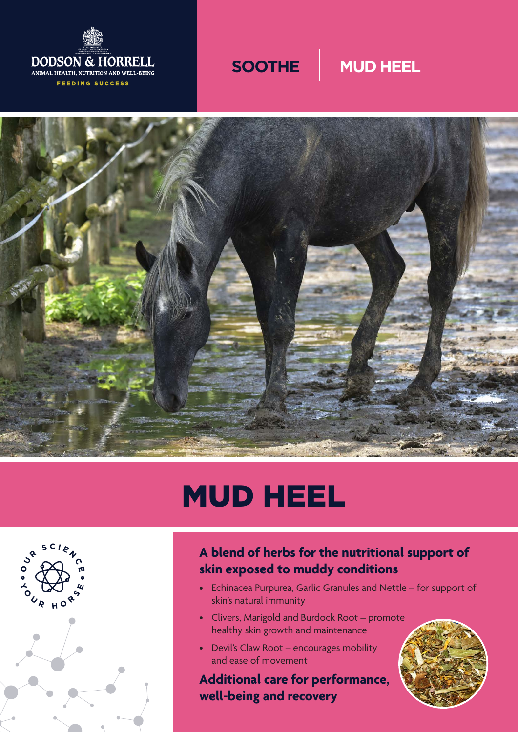





# MUD HEEL



## **A blend of herbs for the nutritional support of skin exposed to muddy conditions**

- Echinacea Purpurea, Garlic Granules and Nettle for support of skin's natural immunity
- Clivers, Marigold and Burdock Root promote healthy skin growth and maintenance
- Devil's Claw Root encourages mobility and ease of movement

**Additional care for performance, well-being and recovery**